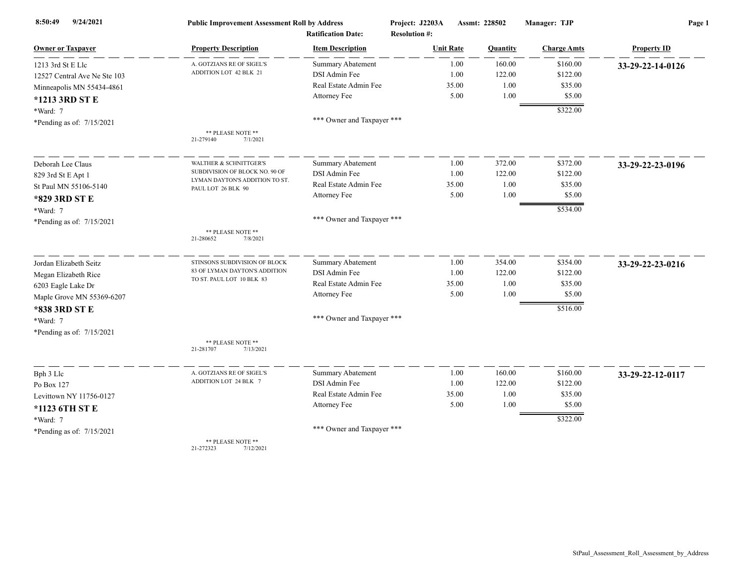| 9/24/2021<br>8:50:49         | <b>Public Improvement Assessment Roll by Address</b>                          |                            | Project: J2203A      | Assmt: 228502   | Manager: TJP       | Page 1             |
|------------------------------|-------------------------------------------------------------------------------|----------------------------|----------------------|-----------------|--------------------|--------------------|
|                              |                                                                               | <b>Ratification Date:</b>  | <b>Resolution #:</b> |                 |                    |                    |
| <b>Owner or Taxpayer</b>     | <b>Property Description</b>                                                   | <b>Item Description</b>    | <b>Unit Rate</b>     | <b>Quantity</b> | <b>Charge Amts</b> | <b>Property ID</b> |
| 1213 3rd St E Llc            | A. GOTZIANS RE OF SIGEL'S                                                     | Summary Abatement          |                      | 1.00<br>160.00  | \$160.00           | 33-29-22-14-0126   |
| 12527 Central Ave Ne Ste 103 | ADDITION LOT 42 BLK 21                                                        | DSI Admin Fee              |                      | 122.00<br>1.00  | \$122.00           |                    |
| Minneapolis MN 55434-4861    |                                                                               | Real Estate Admin Fee      | 35.00                | 1.00            | \$35.00            |                    |
| *1213 3RD ST E               |                                                                               | Attorney Fee               |                      | 5.00<br>1.00    | \$5.00             |                    |
| *Ward: 7                     |                                                                               |                            |                      |                 | \$322.00           |                    |
| *Pending as of: 7/15/2021    |                                                                               | *** Owner and Taxpayer *** |                      |                 |                    |                    |
|                              | ** PLEASE NOTE **<br>21-279140<br>7/1/2021                                    |                            |                      |                 |                    |                    |
| Deborah Lee Claus            | <b>WALTHER &amp; SCHNITTGER'S</b>                                             | Summary Abatement          |                      | 372.00<br>1.00  | \$372.00           | 33-29-22-23-0196   |
| 829 3rd St E Apt 1           | SUBDIVISION OF BLOCK NO. 90 OF                                                | DSI Admin Fee              |                      | 1.00<br>122.00  | \$122.00           |                    |
|                              | LYMAN DAYTON'S ADDITION TO ST.<br>St Paul MN 55106-5140<br>PAUL LOT 26 BLK 90 | Real Estate Admin Fee      | 35.00                | 1.00            | \$35.00            |                    |
| *829 3RD ST E                |                                                                               | Attorney Fee               |                      | 5.00<br>1.00    | \$5.00             |                    |
| $*Ward: 7$                   |                                                                               |                            |                      |                 | \$534.00           |                    |
| *Pending as of: 7/15/2021    |                                                                               | *** Owner and Taxpayer *** |                      |                 |                    |                    |
|                              | ** PLEASE NOTE **<br>7/8/2021<br>21-280652                                    |                            |                      |                 |                    |                    |
| Jordan Elizabeth Seitz       | STINSONS SUBDIVISION OF BLOCK                                                 | <b>Summary Abatement</b>   |                      | 354.00<br>1.00  | \$354.00           | 33-29-22-23-0216   |
| Megan Elizabeth Rice         | 83 OF LYMAN DAYTON'S ADDITION                                                 | DSI Admin Fee              |                      | 1.00<br>122.00  | \$122.00           |                    |
| 6203 Eagle Lake Dr           | TO ST. PAUL LOT 10 BLK 83                                                     | Real Estate Admin Fee      | 35.00                | 1.00            | \$35.00            |                    |
| Maple Grove MN 55369-6207    |                                                                               | Attorney Fee               |                      | 5.00<br>1.00    | \$5.00             |                    |
| *838 3RD ST E                |                                                                               |                            |                      |                 | \$516.00           |                    |
| *Ward: 7                     |                                                                               | *** Owner and Taxpayer *** |                      |                 |                    |                    |
| *Pending as of: 7/15/2021    |                                                                               |                            |                      |                 |                    |                    |
|                              | ** PLEASE NOTE **<br>21-281707<br>7/13/2021                                   |                            |                      |                 |                    |                    |
| Bph 3 Llc                    | A. GOTZIANS RE OF SIGEL'S                                                     | <b>Summary Abatement</b>   |                      | 1.00<br>160.00  | \$160.00           | 33-29-22-12-0117   |
| Po Box 127                   | ADDITION LOT 24 BLK 7                                                         | DSI Admin Fee              |                      | 1.00<br>122.00  | \$122.00           |                    |
| Levittown NY 11756-0127      |                                                                               | Real Estate Admin Fee      | 35.00                | 1.00            | \$35.00            |                    |
| *1123 6TH ST E               |                                                                               | Attorney Fee               |                      | 5.00<br>1.00    | \$5.00             |                    |
| *Ward: 7                     |                                                                               |                            |                      |                 | \$322.00           |                    |
| *Pending as of: 7/15/2021    |                                                                               | *** Owner and Taxpayer *** |                      |                 |                    |                    |
|                              | ** PLEASE NOTE **                                                             |                            |                      |                 |                    |                    |

21-272323 7/12/2021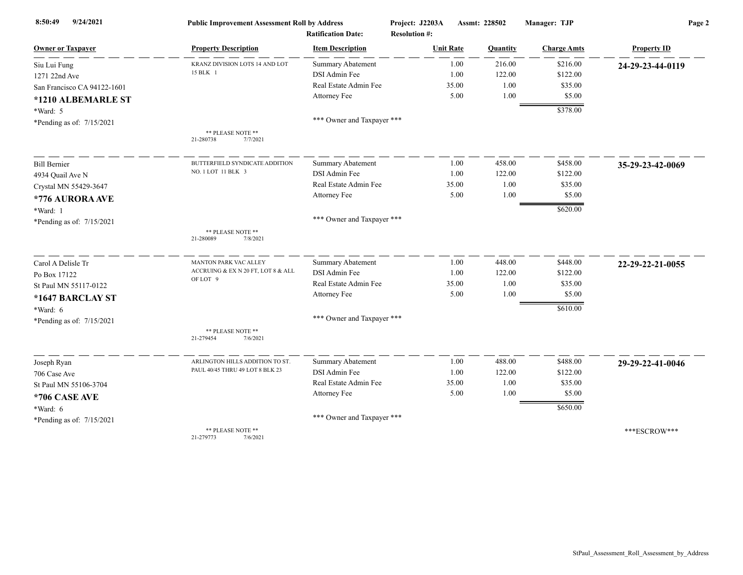| 9/24/2021<br>8:50:49        | <b>Public Improvement Assessment Roll by Address</b> | <b>Ratification Date:</b>  | Project: J2203A<br><b>Resolution #:</b> | Assmt: 228502 | Manager: TJP       | Page 2             |
|-----------------------------|------------------------------------------------------|----------------------------|-----------------------------------------|---------------|--------------------|--------------------|
| <b>Owner or Taxpayer</b>    | <b>Property Description</b>                          | <b>Item Description</b>    | <b>Unit Rate</b>                        | Quantity      | <b>Charge Amts</b> | <b>Property ID</b> |
| Siu Lui Fung                | KRANZ DIVISION LOTS 14 AND LOT                       | <b>Summary Abatement</b>   | 1.00                                    | 216.00        | \$216.00           | 24-29-23-44-0119   |
| 1271 22nd Ave               | 15 BLK 1                                             | DSI Admin Fee              | 1.00                                    | 122.00        | \$122.00           |                    |
| San Francisco CA 94122-1601 |                                                      | Real Estate Admin Fee      | 35.00                                   | 1.00          | \$35.00            |                    |
| *1210 ALBEMARLE ST          |                                                      | Attorney Fee               | 5.00                                    | 1.00          | \$5.00             |                    |
| *Ward: 5                    |                                                      |                            |                                         |               | \$378.00           |                    |
| *Pending as of: 7/15/2021   |                                                      | *** Owner and Taxpayer *** |                                         |               |                    |                    |
|                             | ** PLEASE NOTE **<br>7/7/2021<br>21-280738           |                            |                                         |               |                    |                    |
| <b>Bill Bernier</b>         | BUTTERFIELD SYNDICATE ADDITION                       | <b>Summary Abatement</b>   | 1.00                                    | 458.00        | \$458.00           | 35-29-23-42-0069   |
| 4934 Quail Ave N            | NO. 1 LOT 11 BLK 3                                   | DSI Admin Fee              | 1.00                                    | 122.00        | \$122.00           |                    |
| Crystal MN 55429-3647       |                                                      | Real Estate Admin Fee      | 35.00                                   | 1.00          | \$35.00            |                    |
| *776 AURORA AVE             |                                                      | Attorney Fee               | 5.00                                    | 1.00          | \$5.00             |                    |
| *Ward: 1                    |                                                      |                            |                                         |               | \$620.00           |                    |
| *Pending as of: 7/15/2021   |                                                      | *** Owner and Taxpayer *** |                                         |               |                    |                    |
|                             | ** PLEASE NOTE **<br>21-280089<br>7/8/2021           |                            |                                         |               |                    |                    |
| Carol A Delisle Tr          | <b>MANTON PARK VAC ALLEY</b>                         | <b>Summary Abatement</b>   | 1.00                                    | 448.00        | \$448.00           | 22-29-22-21-0055   |
| Po Box 17122                | ACCRUING & EX N 20 FT, LOT 8 & ALL                   | DSI Admin Fee              | 1.00                                    | 122.00        | \$122.00           |                    |
| St Paul MN 55117-0122       | OF LOT 9                                             | Real Estate Admin Fee      | 35.00                                   | 1.00          | \$35.00            |                    |
| *1647 BARCLAY ST            |                                                      | Attorney Fee               | 5.00                                    | 1.00          | \$5.00             |                    |
| *Ward: 6                    |                                                      |                            |                                         |               | \$610.00           |                    |
| *Pending as of: 7/15/2021   |                                                      | *** Owner and Taxpayer *** |                                         |               |                    |                    |
|                             | ** PLEASE NOTE **<br>7/6/2021<br>21-279454           |                            |                                         |               |                    |                    |
| Joseph Ryan                 | ARLINGTON HILLS ADDITION TO ST.                      | Summary Abatement          | 1.00                                    | 488.00        | \$488.00           | 29-29-22-41-0046   |
| 706 Case Ave                | PAUL 40/45 THRU 49 LOT 8 BLK 23                      | DSI Admin Fee              | 1.00                                    | 122.00        | \$122.00           |                    |
| St Paul MN 55106-3704       |                                                      | Real Estate Admin Fee      | 35.00                                   | 1.00          | \$35.00            |                    |
| *706 CASE AVE               |                                                      | Attorney Fee               | 5.00                                    | 1.00          | \$5.00             |                    |
| *Ward: 6                    |                                                      |                            |                                         |               | \$650.00           |                    |
| *Pending as of: 7/15/2021   |                                                      | *** Owner and Taxpayer *** |                                         |               |                    |                    |
|                             | ** PLEASE NOTE **<br>21-279773<br>7/6/2021           |                            |                                         |               |                    | ***ESCROW***       |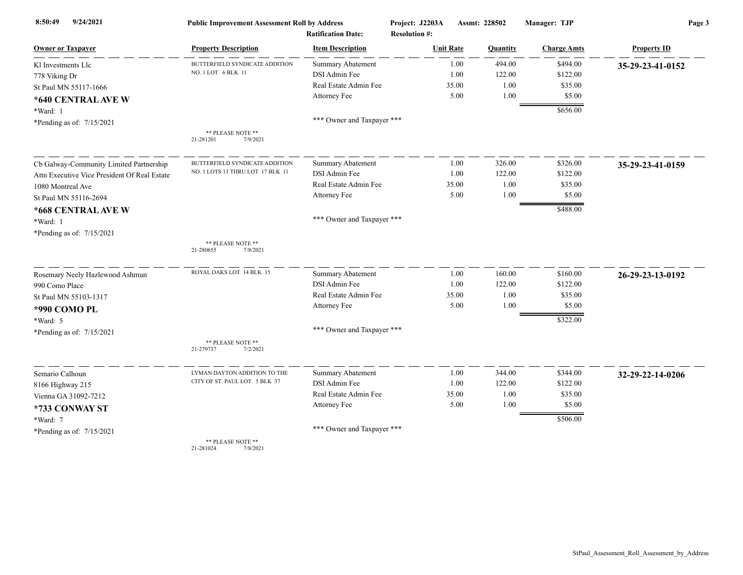| 9/24/2021<br>8:50:49                         | <b>Public Improvement Assessment Roll by Address</b> |                                                      | Project: J2203A                          |              | Assmt: 228502    | Manager: TJP         | Page 3             |  |
|----------------------------------------------|------------------------------------------------------|------------------------------------------------------|------------------------------------------|--------------|------------------|----------------------|--------------------|--|
| <b>Owner or Taxpayer</b>                     | <b>Property Description</b>                          | <b>Ratification Date:</b><br><b>Item Description</b> | <b>Resolution #:</b><br><b>Unit Rate</b> |              | Quantity         | <b>Charge Amts</b>   | <b>Property ID</b> |  |
|                                              |                                                      |                                                      |                                          |              |                  |                      |                    |  |
| Kl Investments Llc                           | BUTTERFIELD SYNDICATE ADDITION<br>NO. 1 LOT 6 BLK 11 | <b>Summary Abatement</b><br>DSI Admin Fee            |                                          | 1.00<br>1.00 | 494.00<br>122.00 | \$494.00<br>\$122.00 | 35-29-23-41-0152   |  |
| 778 Viking Dr                                |                                                      | Real Estate Admin Fee                                |                                          | 35.00        | 1.00             | \$35.00              |                    |  |
| St Paul MN 55117-1666                        |                                                      | Attorney Fee                                         |                                          | 5.00         | 1.00             | \$5.00               |                    |  |
| *640 CENTRAL AVE W                           |                                                      |                                                      |                                          |              |                  |                      |                    |  |
| *Ward: 1                                     |                                                      |                                                      |                                          |              |                  | \$656.00             |                    |  |
| *Pending as of: 7/15/2021                    |                                                      | *** Owner and Taxpayer ***                           |                                          |              |                  |                      |                    |  |
|                                              | ** PLEASE NOTE **<br>21-281201<br>7/9/2021           |                                                      |                                          |              |                  |                      |                    |  |
| Cb Galway-Community Limited Partnership      | BUTTERFIELD SYNDICATE ADDITION                       | <b>Summary Abatement</b>                             |                                          | 1.00         | 326.00           | \$326.00             | 35-29-23-41-0159   |  |
| Attn Executive Vice President Of Real Estate | NO. 1 LOTS 13 THRU LOT 17 BLK 11                     | DSI Admin Fee                                        |                                          | 1.00         | 122.00           | \$122.00             |                    |  |
| 1080 Montreal Ave                            |                                                      | Real Estate Admin Fee                                |                                          | 35.00        | 1.00             | \$35.00              |                    |  |
| St Paul MN 55116-2694                        |                                                      | Attorney Fee                                         |                                          | 5.00         | 1.00             | \$5.00               |                    |  |
| *668 CENTRAL AVE W                           |                                                      |                                                      |                                          |              |                  | \$488.00             |                    |  |
| *Ward: 1                                     |                                                      | *** Owner and Taxpayer ***                           |                                          |              |                  |                      |                    |  |
| *Pending as of: 7/15/2021                    |                                                      |                                                      |                                          |              |                  |                      |                    |  |
|                                              | ** PLEASE NOTE **<br>21-280655<br>7/8/2021           |                                                      |                                          |              |                  |                      |                    |  |
| Rosemary Neely Hazlewood Ashmun              | ROYAL OAKS LOT 14 BLK 15                             | <b>Summary Abatement</b>                             |                                          | 1.00         | 160.00           | \$160.00             | 26-29-23-13-0192   |  |
| 990 Como Place                               |                                                      | DSI Admin Fee                                        |                                          | 1.00         | 122.00           | \$122.00             |                    |  |
| St Paul MN 55103-1317                        |                                                      | Real Estate Admin Fee                                |                                          | 35.00        | 1.00             | \$35.00              |                    |  |
| *990 COMO PL                                 |                                                      | Attorney Fee                                         |                                          | 5.00         | 1.00             | \$5.00               |                    |  |
| *Ward: 5                                     |                                                      |                                                      |                                          |              |                  | \$322.00             |                    |  |
| *Pending as of: 7/15/2021                    |                                                      | *** Owner and Taxpayer ***                           |                                          |              |                  |                      |                    |  |
|                                              | ** PLEASE NOTE **<br>21-279737<br>7/2/2021           |                                                      |                                          |              |                  |                      |                    |  |
| Semario Calhoun                              | LYMAN DAYTON ADDITION TO THE                         | <b>Summary Abatement</b>                             |                                          | 1.00         | 344.00           | \$344.00             | 32-29-22-14-0206   |  |
| 8166 Highway 215                             | CITY OF ST. PAUL LOT 5 BLK 37                        | DSI Admin Fee                                        |                                          | 1.00         | 122.00           | \$122.00             |                    |  |
| Vienna GA 31092-7212                         |                                                      | Real Estate Admin Fee                                |                                          | 35.00        | 1.00             | \$35.00              |                    |  |
| *733 CONWAY ST                               |                                                      | Attorney Fee                                         |                                          | 5.00         | 1.00             | \$5.00               |                    |  |
| *Ward: 7                                     |                                                      |                                                      |                                          |              |                  | \$506.00             |                    |  |
| *Pending as of: 7/15/2021                    |                                                      | *** Owner and Taxpayer ***                           |                                          |              |                  |                      |                    |  |
|                                              | ** PLEASE NOTE **<br>21-281024<br>7/8/2021           |                                                      |                                          |              |                  |                      |                    |  |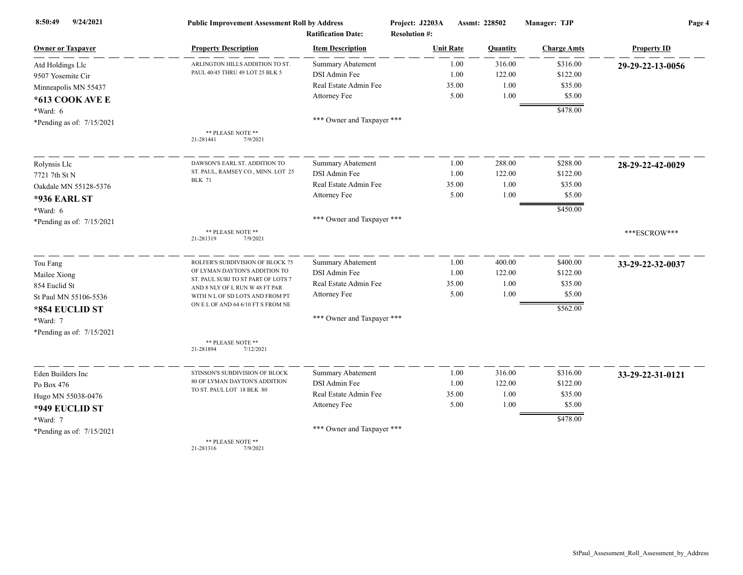| 9/24/2021<br>8:50:49      | <b>Public Improvement Assessment Roll by Address</b>                 | <b>Ratification Date:</b>  | Project: J2203A<br><b>Resolution #:</b> |       | Assmt: 228502 | Manager: TJP       | Page 4             |
|---------------------------|----------------------------------------------------------------------|----------------------------|-----------------------------------------|-------|---------------|--------------------|--------------------|
| <b>Owner or Taxpayer</b>  | <b>Property Description</b>                                          | <b>Item Description</b>    | <b>Unit Rate</b>                        |       | Quantity      | <b>Charge Amts</b> | <b>Property ID</b> |
| Atd Holdings Llc          | ARLINGTON HILLS ADDITION TO ST.                                      | <b>Summary Abatement</b>   |                                         | 1.00  | 316.00        | \$316.00           | 29-29-22-13-0056   |
| 9507 Yosemite Cir         | PAUL 40/45 THRU 49 LOT 25 BLK 5                                      | DSI Admin Fee              |                                         | 1.00  | 122.00        | \$122.00           |                    |
| Minneapolis MN 55437      |                                                                      | Real Estate Admin Fee      |                                         | 35.00 | 1.00          | \$35.00            |                    |
| *613 COOK AVE E           |                                                                      | Attorney Fee               |                                         | 5.00  | 1.00          | \$5.00             |                    |
| *Ward: 6                  |                                                                      |                            |                                         |       |               | \$478.00           |                    |
| *Pending as of: 7/15/2021 |                                                                      | *** Owner and Taxpayer *** |                                         |       |               |                    |                    |
|                           | ** PLEASE NOTE **<br>21-281441<br>7/9/2021                           |                            |                                         |       |               |                    |                    |
| Rolynsis Llc              | DAWSON'S EARL ST. ADDITION TO                                        | <b>Summary Abatement</b>   |                                         | 1.00  | 288.00        | \$288.00           | 28-29-22-42-0029   |
| 7721 7th St N             | ST. PAUL, RAMSEY CO., MINN. LOT 25                                   | DSI Admin Fee              |                                         | 1.00  | 122.00        | \$122.00           |                    |
| Oakdale MN 55128-5376     | <b>BLK 71</b>                                                        | Real Estate Admin Fee      |                                         | 35.00 | 1.00          | \$35.00            |                    |
| <b>*936 EARL ST</b>       |                                                                      | Attorney Fee               |                                         | 5.00  | 1.00          | \$5.00             |                    |
| *Ward: 6                  |                                                                      |                            |                                         |       |               | \$450.00           |                    |
| *Pending as of: 7/15/2021 |                                                                      | *** Owner and Taxpayer *** |                                         |       |               |                    |                    |
|                           | ** PLEASE NOTE **<br>21-281319<br>7/9/2021                           |                            |                                         |       |               |                    | ***ESCROW***       |
| Tou Fang                  | ROLFER'S SUBDIVISION OF BLOCK 75                                     | <b>Summary Abatement</b>   |                                         | 1.00  | 400.00        | \$400.00           | 33-29-22-32-0037   |
| Mailee Xiong              | OF LYMAN DAYTON'S ADDITION TO                                        | DSI Admin Fee              |                                         | 1.00  | 122.00        | \$122.00           |                    |
| 854 Euclid St             | ST. PAUL SUBJ TO ST PART OF LOTS 7<br>AND 8 NLY OF L RUN W 48 FT PAR | Real Estate Admin Fee      |                                         | 35.00 | 1.00          | \$35.00            |                    |
| St Paul MN 55106-5536     | WITH N L OF SD LOTS AND FROM PT                                      | Attorney Fee               |                                         | 5.00  | 1.00          | \$5.00             |                    |
| *854 EUCLID ST            | ON E L OF AND 64 6/10 FT S FROM NE                                   |                            |                                         |       |               | \$562.00           |                    |
| *Ward: 7                  |                                                                      | *** Owner and Taxpayer *** |                                         |       |               |                    |                    |
| *Pending as of: 7/15/2021 |                                                                      |                            |                                         |       |               |                    |                    |
|                           | ** PLEASE NOTE **<br>21-281894<br>7/12/2021                          |                            |                                         |       |               |                    |                    |
| Eden Builders Inc         | STINSON'S SUBDIVISION OF BLOCK                                       | <b>Summary Abatement</b>   |                                         | 1.00  | 316.00        | \$316.00           | 33-29-22-31-0121   |
| Po Box 476                | 80 OF LYMAN DAYTON'S ADDITION                                        | DSI Admin Fee              |                                         | 1.00  | 122.00        | \$122.00           |                    |
| Hugo MN 55038-0476        | TO ST. PAUL LOT 18 BLK 80                                            | Real Estate Admin Fee      |                                         | 35.00 | 1.00          | \$35.00            |                    |
| *949 EUCLID ST            |                                                                      | Attorney Fee               |                                         | 5.00  | 1.00          | \$5.00             |                    |
| *Ward: 7                  |                                                                      |                            |                                         |       |               | \$478.00           |                    |
| *Pending as of: 7/15/2021 |                                                                      | *** Owner and Taxpayer *** |                                         |       |               |                    |                    |
|                           | ** PLEASE NOTE **<br>21-281316<br>7/9/2021                           |                            |                                         |       |               |                    |                    |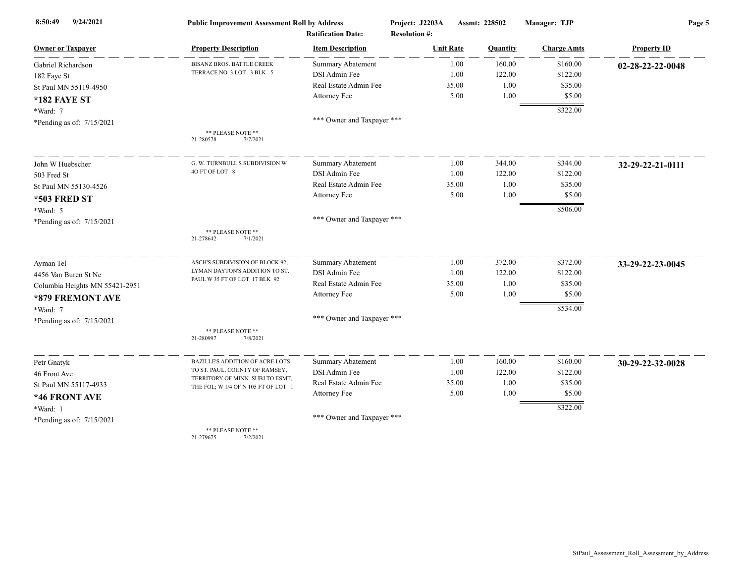| 9/24/2021<br>8:50:49           | <b>Public Improvement Assessment Roll by Address</b>                    |                            | Project: J2203A      | Assmt: 228502 | Manager: TJP       | Page 5             |
|--------------------------------|-------------------------------------------------------------------------|----------------------------|----------------------|---------------|--------------------|--------------------|
|                                |                                                                         | <b>Ratification Date:</b>  | <b>Resolution #:</b> |               |                    |                    |
| <b>Owner or Taxpayer</b>       | <b>Property Description</b>                                             | <b>Item Description</b>    | <b>Unit Rate</b>     | Quantity      | <b>Charge Amts</b> | <b>Property ID</b> |
| Gabriel Richardson             | BISANZ BROS. BATTLE CREEK                                               | Summary Abatement          | 1.00                 | 160.00        | \$160.00           | 02-28-22-22-0048   |
| 182 Faye St                    | TERRACE NO. 3 LOT 3 BLK 5                                               | DSI Admin Fee              | 1.00                 | 122.00        | \$122.00           |                    |
| St Paul MN 55119-4950          |                                                                         | Real Estate Admin Fee      | 35.00                | 1.00          | \$35.00            |                    |
| <b>*182 FAYE ST</b>            |                                                                         | <b>Attorney Fee</b>        | 5.00                 | 1.00          | \$5.00             |                    |
| *Ward: 7                       |                                                                         |                            |                      |               | \$322.00           |                    |
| *Pending as of: 7/15/2021      |                                                                         | *** Owner and Taxpayer *** |                      |               |                    |                    |
|                                | ** PLEASE NOTE **<br>21-280578<br>7/7/2021                              |                            |                      |               |                    |                    |
| John W Huebscher               | G. W. TURNBULL'S SUBDIVISION W                                          | <b>Summary Abatement</b>   | 1.00                 | 344.00        | \$344.00           | 32-29-22-21-0111   |
| 503 Fred St                    | 40 FT OF LOT 8                                                          | DSI Admin Fee              | 1.00                 | 122.00        | \$122.00           |                    |
| St Paul MN 55130-4526          |                                                                         | Real Estate Admin Fee      | 35.00                | 1.00          | \$35.00            |                    |
| <b>*503 FRED ST</b>            |                                                                         | Attorney Fee               | 5.00                 | 1.00          | \$5.00             |                    |
| *Ward: 5                       |                                                                         |                            |                      |               | \$506.00           |                    |
| *Pending as of: 7/15/2021      |                                                                         | *** Owner and Taxpayer *** |                      |               |                    |                    |
|                                | ** PLEASE NOTE **<br>21-278642<br>7/1/2021                              |                            |                      |               |                    |                    |
| Ayman Tel                      | ASCH'S SUBDIVISION OF BLOCK 92,                                         | Summary Abatement          | 1.00                 | 372.00        | \$372.00           | 33-29-22-23-0045   |
| 4456 Van Buren St Ne           | LYMAN DAYTON'S ADDITION TO ST.<br>PAUL W 35 FT OF LOT 17 BLK 92         | DSI Admin Fee              | 1.00                 | 122.00        | \$122.00           |                    |
| Columbia Heights MN 55421-2951 |                                                                         | Real Estate Admin Fee      | 35.00                | 1.00          | \$35.00            |                    |
| *879 FREMONT AVE               |                                                                         | Attorney Fee               | 5.00                 | 1.00          | \$5.00             |                    |
| *Ward: 7                       |                                                                         |                            |                      |               | \$534.00           |                    |
| *Pending as of: 7/15/2021      |                                                                         | *** Owner and Taxpayer *** |                      |               |                    |                    |
|                                | ** PLEASE NOTE **<br>21-280997<br>7/8/2021                              |                            |                      |               |                    |                    |
| Petr Gnatyk                    | <b>BAZILLE'S ADDITION OF ACRE LOTS</b>                                  | <b>Summary Abatement</b>   | 1.00                 | 160.00        | \$160.00           | 30-29-22-32-0028   |
| 46 Front Ave                   | TO ST. PAUL, COUNTY OF RAMSEY,                                          | DSI Admin Fee              | 1.00                 | 122.00        | \$122.00           |                    |
| St Paul MN 55117-4933          | TERRITORY OF MINN. SUBJ TO ESMT,<br>THE FOL; W 1/4 OF N 105 FT OF LOT 1 | Real Estate Admin Fee      | 35.00                | 1.00          | \$35.00            |                    |
| *46 FRONT AVE                  |                                                                         | Attorney Fee               | 5.00                 | 1.00          | \$5.00             |                    |
| *Ward: 1                       |                                                                         |                            |                      |               | \$322.00           |                    |
| *Pending as of: 7/15/2021      |                                                                         | *** Owner and Taxpayer *** |                      |               |                    |                    |
|                                | ** PLEASE NOTE **                                                       |                            |                      |               |                    |                    |

21-279675 7/2/2021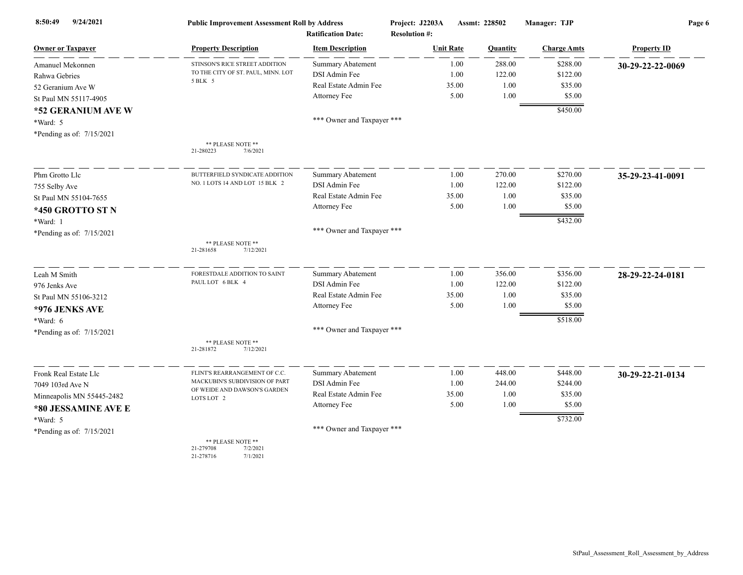| 9/24/2021<br>8:50:49      | <b>Public Improvement Assessment Roll by Address</b>                | <b>Ratification Date:</b>  | Project: J2203A<br><b>Resolution #:</b> | Assmt: 228502 | Manager: TJP       | Page 6             |
|---------------------------|---------------------------------------------------------------------|----------------------------|-----------------------------------------|---------------|--------------------|--------------------|
| <b>Owner or Taxpayer</b>  | <b>Property Description</b>                                         | <b>Item Description</b>    | <b>Unit Rate</b>                        | Quantity      | <b>Charge Amts</b> | <b>Property ID</b> |
| Amanuel Mekonnen          | STINSON'S RICE STREET ADDITION                                      | <b>Summary Abatement</b>   | 1.00                                    | 288.00        | \$288.00           | 30-29-22-22-0069   |
| Rahwa Gebries             | TO THE CITY OF ST. PAUL, MINN. LOT                                  | DSI Admin Fee              | 1.00                                    | 122.00        | \$122.00           |                    |
| 52 Geranium Ave W         | 5 BLK 5                                                             | Real Estate Admin Fee      | 35.00                                   | 1.00          | \$35.00            |                    |
| St Paul MN 55117-4905     |                                                                     | Attorney Fee               | 5.00                                    | 1.00          | \$5.00             |                    |
| *52 GERANIUM AVE W        |                                                                     |                            |                                         |               | \$450.00           |                    |
| *Ward: 5                  |                                                                     | *** Owner and Taxpayer *** |                                         |               |                    |                    |
| *Pending as of: 7/15/2021 |                                                                     |                            |                                         |               |                    |                    |
|                           | ** PLEASE NOTE **<br>21-280223<br>7/6/2021                          |                            |                                         |               |                    |                    |
| Phm Grotto Llc            | BUTTERFIELD SYNDICATE ADDITION                                      | <b>Summary Abatement</b>   | 1.00                                    | 270.00        | \$270.00           | 35-29-23-41-0091   |
| 755 Selby Ave             | NO. 1 LOTS 14 AND LOT 15 BLK 2                                      | DSI Admin Fee              | 1.00                                    | 122.00        | \$122.00           |                    |
| St Paul MN 55104-7655     |                                                                     | Real Estate Admin Fee      | 35.00                                   | 1.00          | \$35.00            |                    |
| *450 GROTTO ST N          |                                                                     | Attorney Fee               | 5.00                                    | 1.00          | \$5.00             |                    |
| *Ward: 1                  |                                                                     |                            |                                         |               | \$432.00           |                    |
| *Pending as of: 7/15/2021 |                                                                     | *** Owner and Taxpayer *** |                                         |               |                    |                    |
|                           | ** PLEASE NOTE **<br>21-281658<br>7/12/2021                         |                            |                                         |               |                    |                    |
| Leah M Smith              | FORESTDALE ADDITION TO SAINT                                        | Summary Abatement          | 1.00                                    | 356.00        | \$356.00           | 28-29-22-24-0181   |
| 976 Jenks Ave             | PAUL LOT 6 BLK 4                                                    | DSI Admin Fee              | 1.00                                    | 122.00        | \$122.00           |                    |
| St Paul MN 55106-3212     |                                                                     | Real Estate Admin Fee      | 35.00                                   | 1.00          | \$35.00            |                    |
| *976 JENKS AVE            |                                                                     | Attorney Fee               | 5.00                                    | 1.00          | \$5.00             |                    |
| *Ward: 6                  |                                                                     |                            |                                         |               | \$518.00           |                    |
| *Pending as of: 7/15/2021 |                                                                     | *** Owner and Taxpayer *** |                                         |               |                    |                    |
|                           | ** PLEASE NOTE **<br>21-281872<br>7/12/2021                         |                            |                                         |               |                    |                    |
| Fronk Real Estate Llc     | FLINT'S REARRANGEMENT OF C.C.                                       | <b>Summary Abatement</b>   | 1.00                                    | 448.00        | \$448.00           | 30-29-22-21-0134   |
| 7049 103rd Ave N          | MACKUBIN'S SUBDIVISION OF PART                                      | DSI Admin Fee              | 1.00                                    | 244.00        | \$244.00           |                    |
| Minneapolis MN 55445-2482 | OF WEIDE AND DAWSON'S GARDEN<br>LOTS LOT 2                          | Real Estate Admin Fee      | 35.00                                   | 1.00          | \$35.00            |                    |
| *80 JESSAMINE AVE E       |                                                                     | Attorney Fee               | 5.00                                    | 1.00          | \$5.00             |                    |
| *Ward: 5                  |                                                                     |                            |                                         |               | \$732.00           |                    |
| *Pending as of: 7/15/2021 |                                                                     | *** Owner and Taxpayer *** |                                         |               |                    |                    |
|                           | ** PLEASE NOTE **<br>21-279708<br>7/2/2021<br>21-278716<br>7/1/2021 |                            |                                         |               |                    |                    |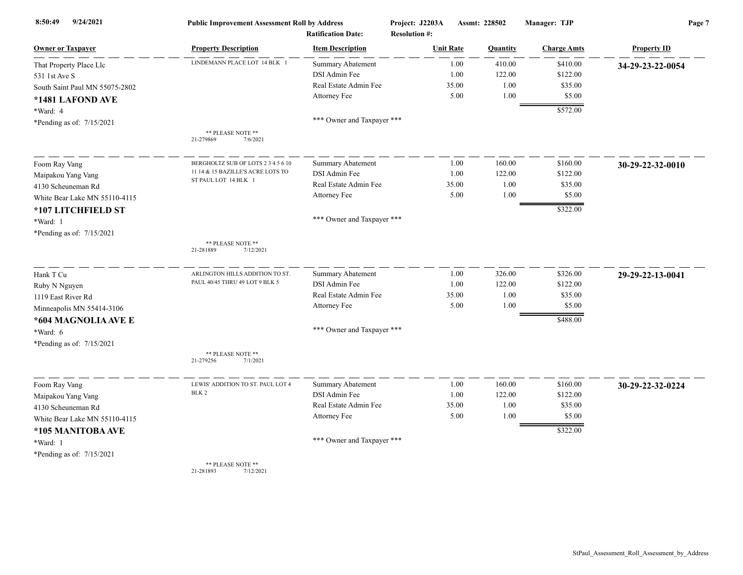| 8:50:49<br>9/24/2021           | <b>Public Improvement Assessment Roll by Address</b> | <b>Ratification Date:</b>  | Project: J2203A<br><b>Resolution #:</b> |       | Assmt: 228502 | Manager: TJP       | Page 7             |  |
|--------------------------------|------------------------------------------------------|----------------------------|-----------------------------------------|-------|---------------|--------------------|--------------------|--|
| <b>Owner or Taxpayer</b>       | <b>Property Description</b>                          | <b>Item Description</b>    | <b>Unit Rate</b>                        |       | Quantity      | <b>Charge Amts</b> | <b>Property ID</b> |  |
| That Property Place Llc        | LINDEMANN PLACE LOT 14 BLK 1                         | Summary Abatement          |                                         | 1.00  | 410.00        | \$410.00           | 34-29-23-22-0054   |  |
| 531 1st Ave S                  |                                                      | DSI Admin Fee              |                                         | 1.00  | 122.00        | \$122.00           |                    |  |
| South Saint Paul MN 55075-2802 |                                                      | Real Estate Admin Fee      |                                         | 35.00 | 1.00          | \$35.00            |                    |  |
| *1481 LAFOND AVE               |                                                      | Attorney Fee               |                                         | 5.00  | 1.00          | \$5.00             |                    |  |
| *Ward: 4                       |                                                      |                            |                                         |       |               | \$572.00           |                    |  |
| *Pending as of: 7/15/2021      |                                                      | *** Owner and Taxpayer *** |                                         |       |               |                    |                    |  |
|                                | ** PLEASE NOTE **<br>7/6/2021<br>21-279869           |                            |                                         |       |               |                    |                    |  |
| Foom Ray Vang                  | BERGHOLTZ SUB OF LOTS 2 3 4 5 6 10                   | <b>Summary Abatement</b>   |                                         | 1.00  | 160.00        | \$160.00           | 30-29-22-32-0010   |  |
| Maipakou Yang Vang             | 11 14 & 15 BAZILLE'S ACRE LOTS TO                    | DSI Admin Fee              |                                         | 1.00  | 122.00        | \$122.00           |                    |  |
| 4130 Scheuneman Rd             | ST PAUL LOT 14 BLK 1                                 | Real Estate Admin Fee      |                                         | 35.00 | 1.00          | \$35.00            |                    |  |
| White Bear Lake MN 55110-4115  |                                                      | Attorney Fee               |                                         | 5.00  | 1.00          | \$5.00             |                    |  |
| *107 LITCHFIELD ST             |                                                      |                            |                                         |       |               | \$322.00           |                    |  |
| *Ward: 1                       |                                                      | *** Owner and Taxpayer *** |                                         |       |               |                    |                    |  |
| *Pending as of: 7/15/2021      |                                                      |                            |                                         |       |               |                    |                    |  |
|                                | ** PLEASE NOTE **<br>21-281889<br>7/12/2021          |                            |                                         |       |               |                    |                    |  |
| Hank T Cu                      | ARLINGTON HILLS ADDITION TO ST.                      | <b>Summary Abatement</b>   |                                         | 1.00  | 326.00        | \$326.00           | 29-29-22-13-0041   |  |
| Ruby N Nguyen                  | PAUL 40/45 THRU 49 LOT 9 BLK 5                       | DSI Admin Fee              |                                         | 1.00  | 122.00        | \$122.00           |                    |  |
| 1119 East River Rd             |                                                      | Real Estate Admin Fee      |                                         | 35.00 | 1.00          | \$35.00            |                    |  |
| Minneapolis MN 55414-3106      |                                                      | Attorney Fee               |                                         | 5.00  | 1.00          | \$5.00             |                    |  |
| *604 MAGNOLIA AVE E            |                                                      |                            |                                         |       |               | \$488.00           |                    |  |
| *Ward: 6                       |                                                      | *** Owner and Taxpayer *** |                                         |       |               |                    |                    |  |
| *Pending as of: $7/15/2021$    |                                                      |                            |                                         |       |               |                    |                    |  |
|                                | ** PLEASE NOTE **<br>21-279256<br>7/1/2021           |                            |                                         |       |               |                    |                    |  |
| Foom Ray Vang                  | LEWIS' ADDITION TO ST. PAUL LOT 4                    | Summary Abatement          |                                         | 1.00  | 160.00        | \$160.00           | 30-29-22-32-0224   |  |
| Maipakou Yang Vang             | BLK 2                                                | DSI Admin Fee              |                                         | 1.00  | 122.00        | \$122.00           |                    |  |
| 4130 Scheuneman Rd             |                                                      | Real Estate Admin Fee      |                                         | 35.00 | 1.00          | \$35.00            |                    |  |
| White Bear Lake MN 55110-4115  |                                                      | Attorney Fee               |                                         | 5.00  | 1.00          | \$5.00             |                    |  |
| *105 MANITOBA AVE              |                                                      |                            |                                         |       |               | \$322.00           |                    |  |
| *Ward: 1                       |                                                      | *** Owner and Taxpayer *** |                                         |       |               |                    |                    |  |
| *Pending as of: 7/15/2021      |                                                      |                            |                                         |       |               |                    |                    |  |
|                                | ** PLEASE NOTE **<br>21-281803<br>7/12/2021          |                            |                                         |       |               |                    |                    |  |

21-281893 7/12/2021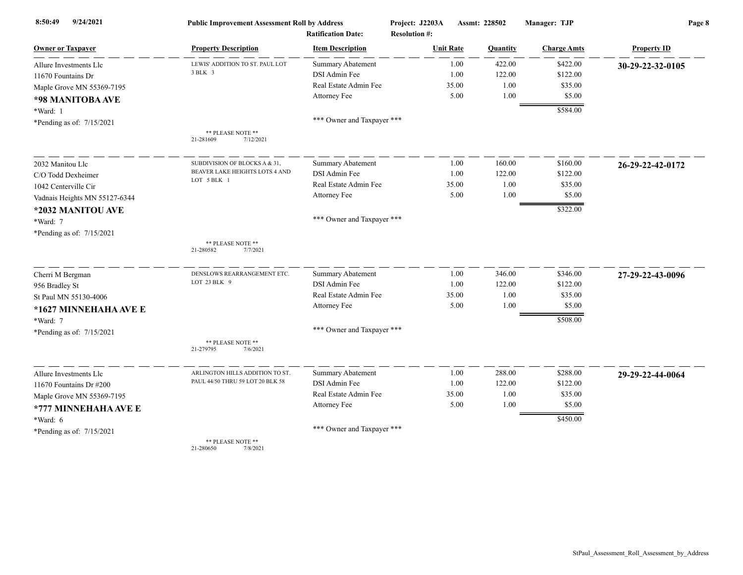| 9/24/2021<br>8:50:49          | <b>Public Improvement Assessment Roll by Address</b> |                                                      | Project: J2203A                          | Assmt: 228502 | Manager: TJP       | Page 8             |
|-------------------------------|------------------------------------------------------|------------------------------------------------------|------------------------------------------|---------------|--------------------|--------------------|
| <b>Owner or Taxpayer</b>      | <b>Property Description</b>                          | <b>Ratification Date:</b><br><b>Item Description</b> | <b>Resolution #:</b><br><b>Unit Rate</b> | Quantity      | <b>Charge Amts</b> | <b>Property ID</b> |
| Allure Investments Llc        | LEWIS' ADDITION TO ST. PAUL LOT                      | Summary Abatement                                    | 1.00                                     | 422.00        | \$422.00           | 30-29-22-32-0105   |
| 11670 Fountains Dr            | 3 BLK 3                                              | DSI Admin Fee                                        | 1.00                                     | 122.00        | \$122.00           |                    |
| Maple Grove MN 55369-7195     |                                                      | Real Estate Admin Fee                                | 35.00                                    | 1.00          | \$35.00            |                    |
| *98 MANITOBA AVE              |                                                      | Attorney Fee                                         | 5.00                                     | 1.00          | \$5.00             |                    |
| *Ward: 1                      |                                                      |                                                      |                                          |               | \$584.00           |                    |
| *Pending as of: 7/15/2021     |                                                      | *** Owner and Taxpayer ***                           |                                          |               |                    |                    |
|                               | ** PLEASE NOTE **<br>21-281609<br>7/12/2021          |                                                      |                                          |               |                    |                    |
| 2032 Manitou Llc              | SUBDIVISION OF BLOCKS A & 31,                        | <b>Summary Abatement</b>                             | 1.00                                     | 160.00        | \$160.00           | 26-29-22-42-0172   |
| C/O Todd Dexheimer            | BEAVER LAKE HEIGHTS LOTS 4 AND                       | DSI Admin Fee                                        | 1.00                                     | 122.00        | \$122.00           |                    |
| 1042 Centerville Cir          | LOT 5 BLK 1                                          | Real Estate Admin Fee                                | 35.00                                    | 1.00          | \$35.00            |                    |
| Vadnais Heights MN 55127-6344 |                                                      | Attorney Fee                                         | 5.00                                     | 1.00          | \$5.00             |                    |
| *2032 MANITOU AVE             |                                                      |                                                      |                                          |               | \$322.00           |                    |
| *Ward: 7                      |                                                      | *** Owner and Taxpayer ***                           |                                          |               |                    |                    |
| *Pending as of: 7/15/2021     |                                                      |                                                      |                                          |               |                    |                    |
|                               | ** PLEASE NOTE **<br>21-280582<br>7/7/2021           |                                                      |                                          |               |                    |                    |
| Cherri M Bergman              | DENSLOWS REARRANGEMENT ETC.                          | Summary Abatement                                    | 1.00                                     | 346.00        | \$346.00           | 27-29-22-43-0096   |
| 956 Bradley St                | LOT 23 BLK 9                                         | DSI Admin Fee                                        | 1.00                                     | 122.00        | \$122.00           |                    |
| St Paul MN 55130-4006         |                                                      | Real Estate Admin Fee                                | 35.00                                    | 1.00          | \$35.00            |                    |
| *1627 MINNEHAHA AVE E         |                                                      | Attorney Fee                                         | 5.00                                     | 1.00          | \$5.00             |                    |
| *Ward: 7                      |                                                      |                                                      |                                          |               | \$508.00           |                    |
| *Pending as of: 7/15/2021     |                                                      | *** Owner and Taxpayer ***                           |                                          |               |                    |                    |
|                               | ** PLEASE NOTE **<br>21-279795<br>7/6/2021           |                                                      |                                          |               |                    |                    |
| Allure Investments Llc        | ARLINGTON HILLS ADDITION TO ST.                      | <b>Summary Abatement</b>                             | 1.00                                     | 288.00        | \$288.00           | 29-29-22-44-0064   |
| 11670 Fountains Dr #200       | PAUL 44/50 THRU 59 LOT 20 BLK 58                     | DSI Admin Fee                                        | 1.00                                     | 122.00        | \$122.00           |                    |
| Maple Grove MN 55369-7195     |                                                      | Real Estate Admin Fee                                | 35.00                                    | 1.00          | \$35.00            |                    |
| *777 MINNEHAHA AVE E          |                                                      | Attorney Fee                                         | 5.00                                     | 1.00          | \$5.00             |                    |
| *Ward: 6                      |                                                      |                                                      |                                          |               | \$450.00           |                    |
| *Pending as of: 7/15/2021     |                                                      | *** Owner and Taxpayer ***                           |                                          |               |                    |                    |
|                               | ** PLEASE NOTE **                                    |                                                      |                                          |               |                    |                    |

21-280650 7/8/2021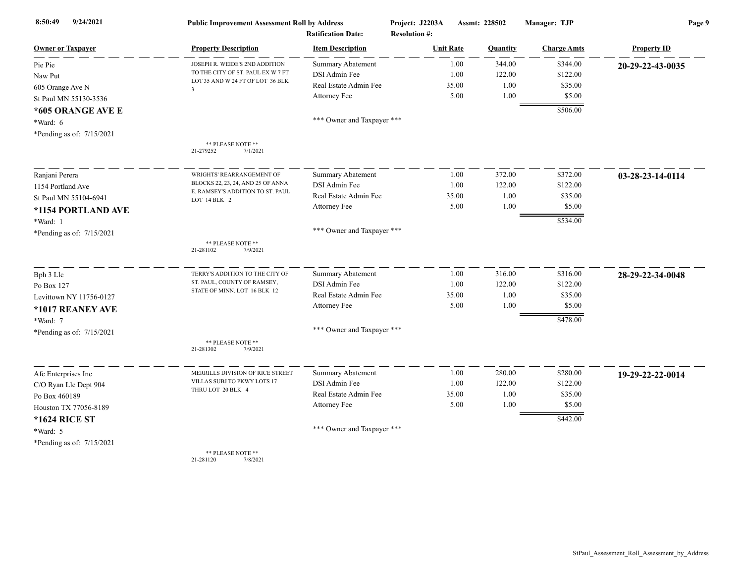| 9/24/2021<br>8:50:49      | <b>Public Improvement Assessment Roll by Address</b> | <b>Ratification Date:</b>  | Project: J2203A<br><b>Resolution #:</b> | Assmt: 228502 |          | Manager: TJP       | Page 9             |
|---------------------------|------------------------------------------------------|----------------------------|-----------------------------------------|---------------|----------|--------------------|--------------------|
| <b>Owner or Taxpayer</b>  | <b>Property Description</b>                          | <b>Item Description</b>    | <b>Unit Rate</b>                        |               | Quantity | <b>Charge Amts</b> | <b>Property ID</b> |
| Pie Pie                   | JOSEPH R. WEIDE'S 2ND ADDITION                       | Summary Abatement          |                                         | 1.00          | 344.00   | \$344.00           | 20-29-22-43-0035   |
| Naw Put                   | TO THE CITY OF ST. PAUL EX W 7 FT                    | DSI Admin Fee              |                                         | 1.00          | 122.00   | \$122.00           |                    |
| 605 Orange Ave N          | LOT 35 AND W 24 FT OF LOT 36 BLK<br>$\overline{3}$   | Real Estate Admin Fee      | 35.00                                   |               | 1.00     | \$35.00            |                    |
| St Paul MN 55130-3536     |                                                      | Attorney Fee               |                                         | 5.00          | 1.00     | \$5.00             |                    |
| *605 ORANGE AVE E         |                                                      |                            |                                         |               |          | \$506.00           |                    |
| *Ward: 6                  |                                                      | *** Owner and Taxpayer *** |                                         |               |          |                    |                    |
| *Pending as of: 7/15/2021 |                                                      |                            |                                         |               |          |                    |                    |
|                           | ** PLEASE NOTE **<br>7/1/2021<br>21-279252           |                            |                                         |               |          |                    |                    |
| Ranjani Perera            | WRIGHTS' REARRANGEMENT OF                            | <b>Summary Abatement</b>   |                                         | 1.00          | 372.00   | \$372.00           | 03-28-23-14-0114   |
| 1154 Portland Ave         | BLOCKS 22, 23, 24, AND 25 OF ANNA                    | DSI Admin Fee              |                                         | 1.00          | 122.00   | \$122.00           |                    |
| St Paul MN 55104-6941     | E. RAMSEY'S ADDITION TO ST. PAUL<br>LOT 14 BLK 2     | Real Estate Admin Fee      |                                         | 35.00         | 1.00     | \$35.00            |                    |
| *1154 PORTLAND AVE        |                                                      | Attorney Fee               |                                         | 5.00          | 1.00     | \$5.00             |                    |
| *Ward: 1                  |                                                      |                            |                                         |               |          | \$534.00           |                    |
| *Pending as of: 7/15/2021 |                                                      | *** Owner and Taxpayer *** |                                         |               |          |                    |                    |
|                           | ** PLEASE NOTE **<br>21-281102<br>7/9/2021           |                            |                                         |               |          |                    |                    |
| Bph 3 Llc                 | TERRY'S ADDITION TO THE CITY OF                      | <b>Summary Abatement</b>   |                                         | 1.00          | 316.00   | \$316.00           | 28-29-22-34-0048   |
| Po Box 127                | ST. PAUL, COUNTY OF RAMSEY,                          | DSI Admin Fee              |                                         | 1.00          | 122.00   | \$122.00           |                    |
| Levittown NY 11756-0127   | STATE OF MINN. LOT 16 BLK 12                         | Real Estate Admin Fee      |                                         | 35.00         | 1.00     | \$35.00            |                    |
| *1017 REANEY AVE          |                                                      | Attorney Fee               |                                         | 5.00          | 1.00     | \$5.00             |                    |
| *Ward: 7                  |                                                      |                            |                                         |               |          | \$478.00           |                    |
| *Pending as of: 7/15/2021 |                                                      | *** Owner and Taxpayer *** |                                         |               |          |                    |                    |
|                           | ** PLEASE NOTE **<br>21-281302<br>7/9/2021           |                            |                                         |               |          |                    |                    |
| Afc Enterprises Inc       | MERRILLS DIVISION OF RICE STREET                     | <b>Summary Abatement</b>   |                                         | 1.00          | 280.00   | \$280.00           | 19-29-22-22-0014   |
| C/O Ryan Llc Dept 904     | VILLAS SUBJ TO PKWY LOTS 17                          | DSI Admin Fee              |                                         | 1.00          | 122.00   | \$122.00           |                    |
| Po Box 460189             | THRU LOT 20 BLK 4                                    | Real Estate Admin Fee      |                                         | 35.00         | 1.00     | \$35.00            |                    |
| Houston TX 77056-8189     |                                                      | Attorney Fee               |                                         | 5.00          | 1.00     | \$5.00             |                    |
| <b>*1624 RICE ST</b>      |                                                      |                            |                                         |               |          | \$442.00           |                    |
| *Ward: 5                  |                                                      | *** Owner and Taxpayer *** |                                         |               |          |                    |                    |
| *Pending as of: 7/15/2021 |                                                      |                            |                                         |               |          |                    |                    |
|                           | ** PLEASE NOTE **                                    |                            |                                         |               |          |                    |                    |

21-281120 7/8/2021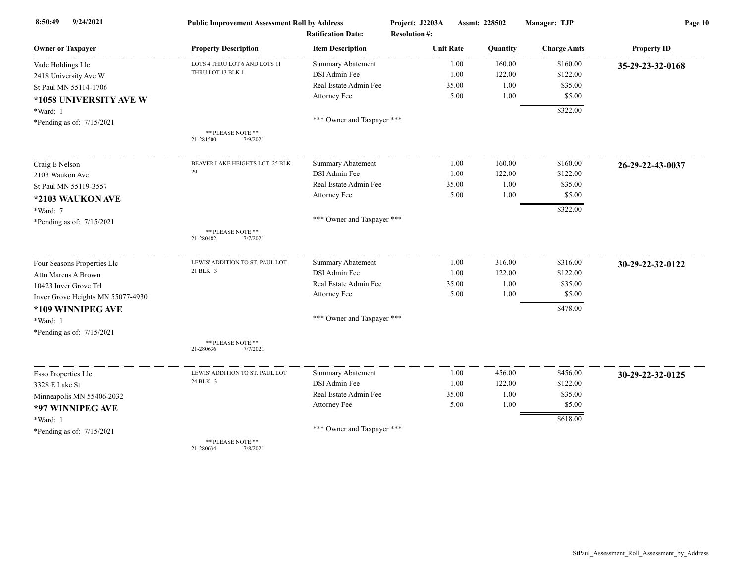| 9/24/2021<br>8:50:49              | <b>Public Improvement Assessment Roll by Address</b> |                            | Project: J2203A      | Assmt: 228502 | Manager: TJP       | Page 10            |
|-----------------------------------|------------------------------------------------------|----------------------------|----------------------|---------------|--------------------|--------------------|
|                                   |                                                      | <b>Ratification Date:</b>  | <b>Resolution #:</b> |               |                    |                    |
| <b>Owner or Taxpayer</b>          | <b>Property Description</b>                          | <b>Item Description</b>    | <b>Unit Rate</b>     | Quantity      | <b>Charge Amts</b> | <b>Property ID</b> |
| Vade Holdings Lle                 | LOTS 4 THRU LOT 6 AND LOTS 11                        | Summary Abatement          | 1.00                 | 160.00        | \$160.00           | 35-29-23-32-0168   |
| 2418 University Ave W             | THRU LOT 13 BLK 1                                    | DSI Admin Fee              | 1.00                 | 122.00        | \$122.00           |                    |
| St Paul MN 55114-1706             |                                                      | Real Estate Admin Fee      | 35.00                | 1.00          | \$35.00            |                    |
| *1058 UNIVERSITY AVE W            |                                                      | Attorney Fee               | 5.00                 | 1.00          | \$5.00             |                    |
| *Ward: 1                          |                                                      |                            |                      |               | \$322.00           |                    |
| *Pending as of: 7/15/2021         |                                                      | *** Owner and Taxpayer *** |                      |               |                    |                    |
|                                   | ** PLEASE NOTE **<br>21-281500<br>7/9/2021           |                            |                      |               |                    |                    |
| Craig E Nelson                    | BEAVER LAKE HEIGHTS LOT 25 BLK                       | Summary Abatement          | 1.00                 | 160.00        | \$160.00           | 26-29-22-43-0037   |
| 2103 Waukon Ave                   | 29                                                   | DSI Admin Fee              | 1.00                 | 122.00        | \$122.00           |                    |
| St Paul MN 55119-3557             |                                                      | Real Estate Admin Fee      | 35.00                | 1.00          | \$35.00            |                    |
| *2103 WAUKON AVE                  |                                                      | Attorney Fee               | 5.00                 | 1.00          | \$5.00             |                    |
| *Ward: 7                          |                                                      |                            |                      |               | \$322.00           |                    |
| *Pending as of: 7/15/2021         |                                                      | *** Owner and Taxpayer *** |                      |               |                    |                    |
|                                   | ** PLEASE NOTE **<br>21-280482<br>7/7/2021           |                            |                      |               |                    |                    |
| Four Seasons Properties Llc       | LEWIS' ADDITION TO ST. PAUL LOT                      | <b>Summary Abatement</b>   | 1.00                 | 316.00        | \$316.00           | 30-29-22-32-0122   |
| Attn Marcus A Brown               | 21 BLK 3                                             | DSI Admin Fee              | 1.00                 | 122.00        | \$122.00           |                    |
| 10423 Inver Grove Trl             |                                                      | Real Estate Admin Fee      | 35.00                | 1.00          | \$35.00            |                    |
| Inver Grove Heights MN 55077-4930 |                                                      | Attorney Fee               | 5.00                 | 1.00          | \$5.00             |                    |
| *109 WINNIPEG AVE                 |                                                      |                            |                      |               | \$478.00           |                    |
| *Ward: 1                          |                                                      | *** Owner and Taxpayer *** |                      |               |                    |                    |
| *Pending as of: 7/15/2021         |                                                      |                            |                      |               |                    |                    |
|                                   | ** PLEASE NOTE **<br>21-280636<br>7/7/2021           |                            |                      |               |                    |                    |
|                                   | LEWIS' ADDITION TO ST. PAUL LOT                      | <b>Summary Abatement</b>   | 1.00                 | 456.00        | \$456.00           |                    |
| Esso Properties Llc               | 24 BLK 3                                             | DSI Admin Fee              | 1.00                 | 122.00        | \$122.00           | 30-29-22-32-0125   |
| 3328 E Lake St                    |                                                      | Real Estate Admin Fee      | 35.00                | 1.00          | \$35.00            |                    |
| Minneapolis MN 55406-2032         |                                                      | Attorney Fee               | 5.00                 | 1.00          | \$5.00             |                    |
| *97 WINNIPEG AVE                  |                                                      |                            |                      |               |                    |                    |
| *Ward: 1                          |                                                      | *** Owner and Taxpayer *** |                      |               | \$618.00           |                    |
| *Pending as of: 7/15/2021         | ** PLEASE NOTE **                                    |                            |                      |               |                    |                    |

21-280634 7/8/2021